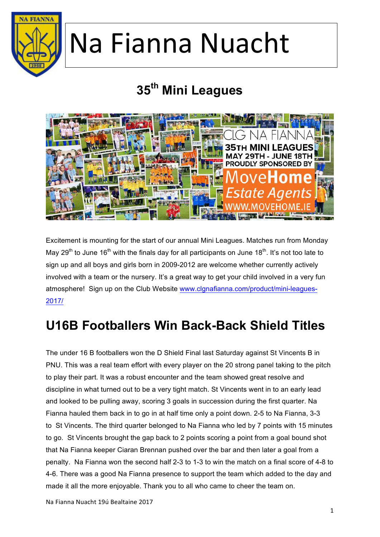

### **35th Mini Leagues**



Excitement is mounting for the start of our annual Mini Leagues. Matches run from Monday May 29<sup>th</sup> to June 16<sup>th</sup> with the finals day for all participants on June 18<sup>th</sup>. It's not too late to sign up and all boys and girls born in 2009-2012 are welcome whether currently actively involved with a team or the nursery. It's a great way to get your child involved in a very fun atmosphere! Sign up on the Club Website www.clgnafianna.com/product/mini-leagues-2017/

#### **U16B Footballers Win Back-Back Shield Titles**

The under 16 B footballers won the D Shield Final last Saturday against St Vincents B in PNU. This was a real team effort with every player on the 20 strong panel taking to the pitch to play their part. It was a robust encounter and the team showed great resolve and discipline in what turned out to be a very tight match. St Vincents went in to an early lead and looked to be pulling away, scoring 3 goals in succession during the first quarter. Na Fianna hauled them back in to go in at half time only a point down. 2-5 to Na Fianna, 3-3 to St Vincents. The third quarter belonged to Na Fianna who led by 7 points with 15 minutes to go. St Vincents brought the gap back to 2 points scoring a point from a goal bound shot that Na Fianna keeper Ciaran Brennan pushed over the bar and then later a goal from a penalty. Na Fianna won the second half 2-3 to 1-3 to win the match on a final score of 4-8 to 4-6. There was a good Na Fianna presence to support the team which added to the day and made it all the more enjoyable. Thank you to all who came to cheer the team on.

Na Fianna Nuacht 19ú Bealtaine 2017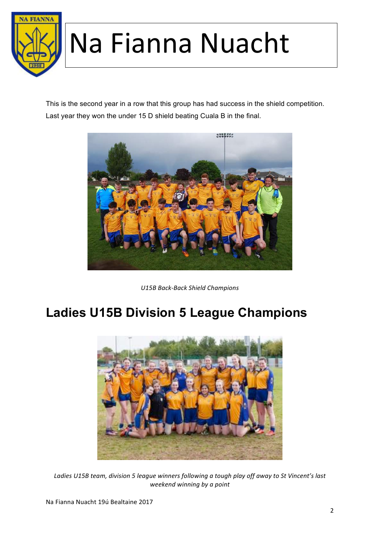

This is the second year in a row that this group has had success in the shield competition. Last year they won the under 15 D shield beating Cuala B in the final.



*U15B Back-Back Shield Champions*

#### **Ladies U15B Division 5 League Champions**



Ladies U15B team, division 5 league winners following a tough play off away to St Vincent's last *weekend winning by a point*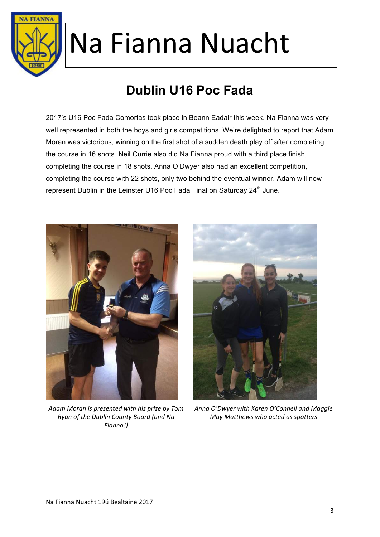

### **Dublin U16 Poc Fada**

2017's U16 Poc Fada Comortas took place in Beann Eadair this week. Na Fianna was very well represented in both the boys and girls competitions. We're delighted to report that Adam Moran was victorious, winning on the first shot of a sudden death play off after completing the course in 16 shots. Neil Currie also did Na Fianna proud with a third place finish, completing the course in 18 shots. Anna O'Dwyer also had an excellent competition, completing the course with 22 shots, only two behind the eventual winner. Adam will now represent Dublin in the Leinster U16 Poc Fada Final on Saturday 24<sup>th</sup> June.



Adam Moran is presented with his prize by Tom *Ryan of the Dublin County Board (and Na Fianna!)* 



Anna O'Dwyer with Karen O'Connell and Maggie *May Matthews who acted as spotters*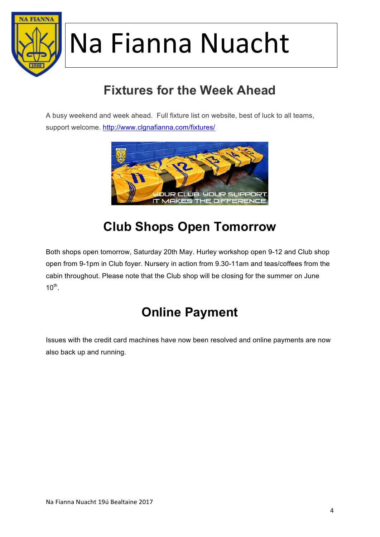

### **Fixtures for the Week Ahead**

A busy weekend and week ahead. Full fixture list on website, best of luck to all teams, support welcome. http://www.clgnafianna.com/fixtures/



#### **Club Shops Open Tomorrow**

Both shops open tomorrow, Saturday 20th May. Hurley workshop open 9-12 and Club shop open from 9-1pm in Club foyer. Nursery in action from 9.30-11am and teas/coffees from the cabin throughout. Please note that the Club shop will be closing for the summer on June  $10^{th}$ .

#### **Online Payment**

Issues with the credit card machines have now been resolved and online payments are now also back up and running.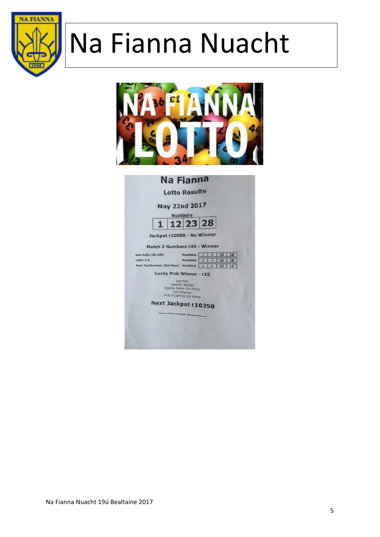



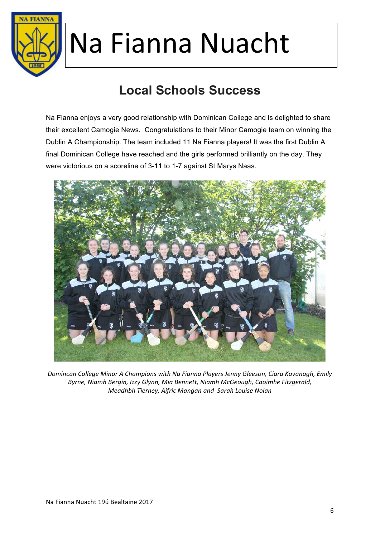

### **Local Schools Success**

Na Fianna enjoys a very good relationship with Dominican College and is delighted to share their excellent Camogie News. Congratulations to their Minor Camogie team on winning the Dublin A Championship. The team included 11 Na Fianna players! It was the first Dublin A final Dominican College have reached and the girls performed brilliantly on the day. They were victorious on a scoreline of 3-11 to 1-7 against St Marys Naas.



*Domincan College Minor A Champions with Na Fianna Players Jenny Gleeson, Ciara Kavanagh, Emily Byrne, Niamh Bergin, Izzy Glynn, Mia Bennett, Niamh McGeough, Caoimhe Fitzgerald, Meadhbh Tierney, Aifric Mangan and Sarah Louise Nolan*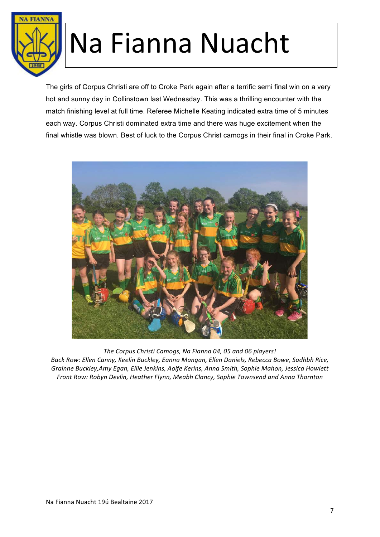

The girls of Corpus Christi are off to Croke Park again after a terrific semi final win on a very hot and sunny day in Collinstown last Wednesday. This was a thrilling encounter with the match finishing level at full time. Referee Michelle Keating indicated extra time of 5 minutes each way. Corpus Christi dominated extra time and there was huge excitement when the final whistle was blown. Best of luck to the Corpus Christ camogs in their final in Croke Park.



The Corpus Christi Camogs, Na Fianna 04, 05 and 06 players! Back Row: Ellen Canny, Keelin Buckley, Eanna Mangan, Ellen Daniels, Rebecca Bowe, Sadhbh Rice, *Grainne Buckley,Amy Egan, Ellie Jenkins, Aoife Kerins, Anna Smith, Sophie Mahon, Jessica Howlett* Front Row: Robyn Devlin, Heather Flynn, Meabh Clancy, Sophie Townsend and Anna Thornton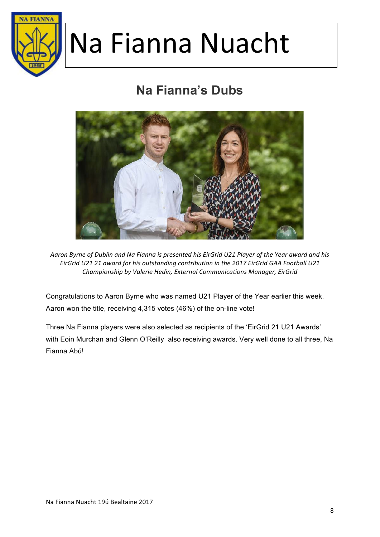

#### **Na Fianna's Dubs**



Aaron Byrne of Dublin and Na Fianna is presented his EirGrid U21 Player of the Year award and his *EirGrid U21 21 award for his outstanding contribution in the 2017 EirGrid GAA Football U21 Championship by Valerie Hedin, External Communications Manager, EirGrid*

Congratulations to Aaron Byrne who was named U21 Player of the Year earlier this week. Aaron won the title, receiving 4,315 votes (46%) of the on-line vote!

Three Na Fianna players were also selected as recipients of the 'EirGrid 21 U21 Awards' with Eoin Murchan and Glenn O'Reilly also receiving awards. Very well done to all three, Na Fianna Abú!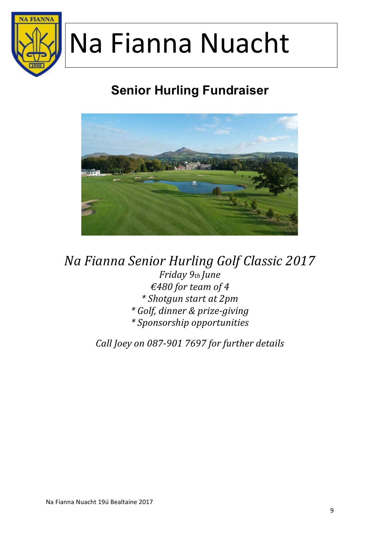

### **Senior Hurling Fundraiser**



*Na Fianna Senior Hurling Golf Classic 2017 Friday 9th June €480 for team of 4 \* Shotgun start at 2pm \* Golf, dinner & prize-giving \* Sponsorship opportunities*

*Call Joey on 087-901 7697 for further details*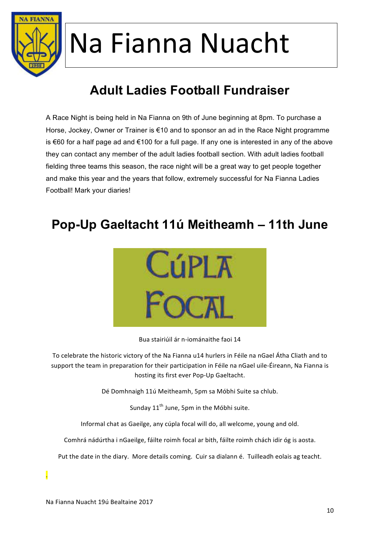

### **Adult Ladies Football Fundraiser**

A Race Night is being held in Na Fianna on 9th of June beginning at 8pm. To purchase a Horse, Jockey, Owner or Trainer is €10 and to sponsor an ad in the Race Night programme is €60 for a half page ad and €100 for a full page. If any one is interested in any of the above they can contact any member of the adult ladies football section. With adult ladies football fielding three teams this season, the race night will be a great way to get people together and make this year and the years that follow, extremely successful for Na Fianna Ladies Football! Mark your diaries!

#### **Pop-Up Gaeltacht 11ú Meitheamh – 11th June**



Bua stairiúil ár n-iománaithe faoi 14

To celebrate the historic victory of the Na Fianna u14 hurlers in Féile na nGael Átha Cliath and to support the team in preparation for their participation in Féile na nGael uile-Éireann, Na Fianna is hosting its first ever Pop-Up Gaeltacht.

Dé Domhnaigh 11ú Meitheamh, 5pm sa Móbhi Suite sa chlub.

Sunday 11<sup>th</sup> June, 5pm in the Móbhi suite.

Informal chat as Gaeilge, any cúpla focal will do, all welcome, young and old.

Comhrá nádúrtha i nGaeilge, fáilte roimh focal ar bith, fáilte roimh chách idir óg is aosta.

Put the date in the diary. More details coming. Cuir sa dialann é. Tuilleadh eolais ag teacht.

.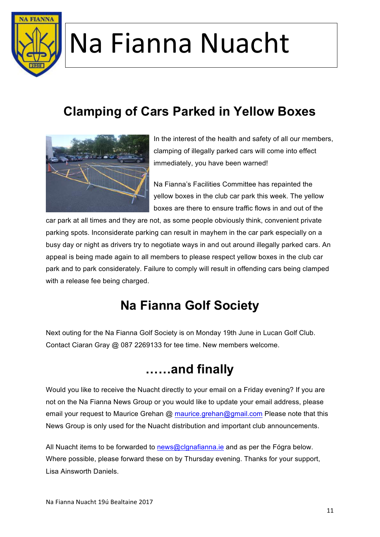

#### **Clamping of Cars Parked in Yellow Boxes**



In the interest of the health and safety of all our members, clamping of illegally parked cars will come into effect immediately, you have been warned!

Na Fianna's Facilities Committee has repainted the yellow boxes in the club car park this week. The yellow boxes are there to ensure traffic flows in and out of the

car park at all times and they are not, as some people obviously think, convenient private parking spots. Inconsiderate parking can result in mayhem in the car park especially on a busy day or night as drivers try to negotiate ways in and out around illegally parked cars. An appeal is being made again to all members to please respect yellow boxes in the club car park and to park considerately. Failure to comply will result in offending cars being clamped with a release fee being charged.

#### **Na Fianna Golf Society**

Next outing for the Na Fianna Golf Society is on Monday 19th June in Lucan Golf Club. Contact Ciaran Gray @ 087 2269133 for tee time. New members welcome.

#### **……and finally**

Would you like to receive the Nuacht directly to your email on a Friday evening? If you are not on the Na Fianna News Group or you would like to update your email address, please email your request to Maurice Grehan @ maurice.grehan@gmail.com Please note that this News Group is only used for the Nuacht distribution and important club announcements.

All Nuacht items to be forwarded to news@clgnafianna.ie and as per the Fógra below. Where possible, please forward these on by Thursday evening. Thanks for your support, Lisa Ainsworth Daniels.